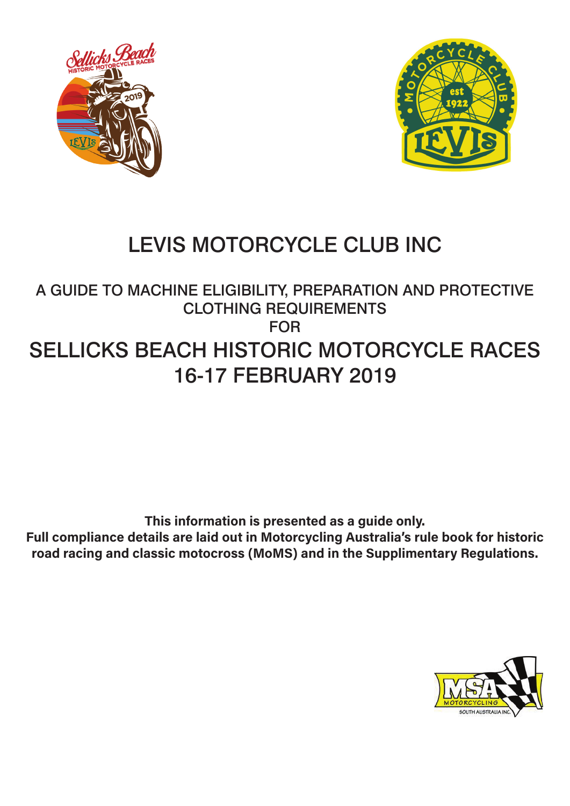



# LEVIS MOTORCYCLE CLUB INC

# A GUIDE TO MACHINE ELIGIBILITY, PREPARATION AND PROTECTIVE CLOTHING REQUIREMENTS FOR SELLICKS BEACH HISTORIC MOTORCYCLE RACES 16-17 FEBRUARY 2019

**This information is presented as a guide only. Full compliance details are laid out in Motorcycling Australia's rule book for historic road racing and classic motocross (MoMS) and in the Supplimentary Regulations.**

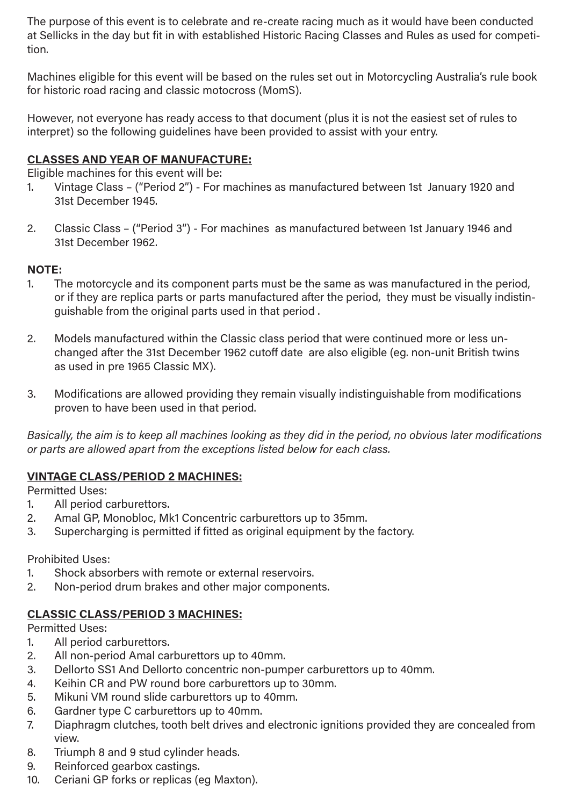The purpose of this event is to celebrate and re-create racing much as it would have been conducted at Sellicks in the day but fit in with established Historic Racing Classes and Rules as used for competition.

Machines eligible for this event will be based on the rules set out in Motorcycling Australia's rule book for historic road racing and classic motocross (MomS).

However, not everyone has ready access to that document (plus it is not the easiest set of rules to interpret) so the following guidelines have been provided to assist with your entry.

#### **CLASSES AND YEAR OF MANUFACTURE:**

Eligible machines for this event will be:

- 1. Vintage Class ("Period 2") For machines as manufactured between 1st January 1920 and 31st December 1945.
- 2. Classic Class ("Period 3") For machines as manufactured between 1st January 1946 and 31st December 1962.

#### **NOTE:**

- 1. The motorcycle and its component parts must be the same as was manufactured in the period, or if they are replica parts or parts manufactured after the period, they must be visually indistinguishable from the original parts used in that period .
- 2. Models manufactured within the Classic class period that were continued more or less unchanged after the 31st December 1962 cutoff date are also eligible (eg. non-unit British twins as used in pre 1965 Classic MX).
- 3. Modifications are allowed providing they remain visually indistinguishable from modifications proven to have been used in that period.

*Basically, the aim is to keep all machines looking as they did in the period, no obvious later modifications or parts are allowed apart from the exceptions listed below for each class.*

#### **VINTAGE CLASS/PERIOD 2 MACHINES:**

Permitted Uses:

- 1. All period carburettors.
- 2. Amal GP, Monobloc, Mk1 Concentric carburettors up to 35mm.
- 3. Supercharging is permitted if fitted as original equipment by the factory.

Prohibited Uses:

- 1. Shock absorbers with remote or external reservoirs.
- 2. Non-period drum brakes and other major components.

#### **CLASSIC CLASS/PERIOD 3 MACHINES:**

Permitted Uses:

- 1. All period carburettors.
- 2. All non-period Amal carburettors up to 40mm.
- 3. Dellorto SS1 And Dellorto concentric non-pumper carburettors up to 40mm.
- 4. Keihin CR and PW round bore carburettors up to 30mm.
- 5. Mikuni VM round slide carburettors up to 40mm.
- 6. Gardner type C carburettors up to 40mm.
- 7. Diaphragm clutches, tooth belt drives and electronic ignitions provided they are concealed from view.
- 8. Triumph 8 and 9 stud cylinder heads.
- 9. Reinforced gearbox castings.
- 10. Ceriani GP forks or replicas (eg Maxton).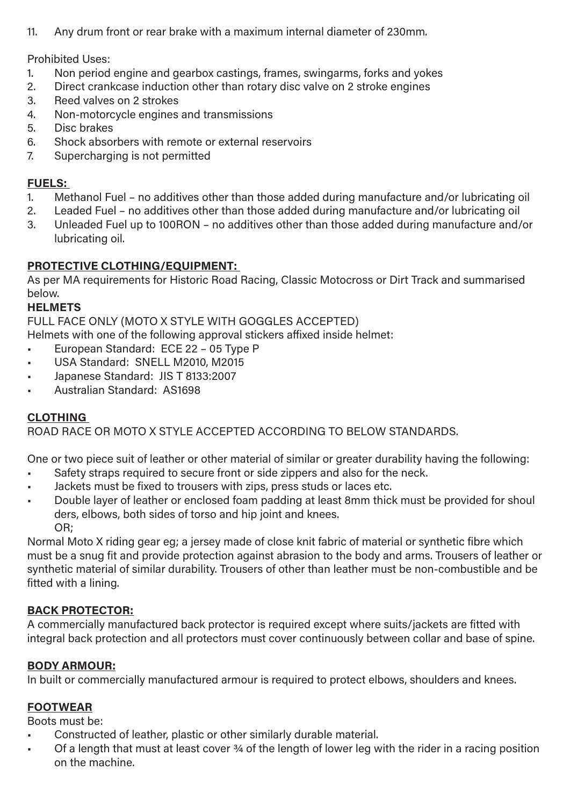11. Any drum front or rear brake with a maximum internal diameter of 230mm.

Prohibited Uses:

- 1. Non period engine and gearbox castings, frames, swingarms, forks and yokes
- 2. Direct crankcase induction other than rotary disc valve on 2 stroke engines
- 3. Reed valves on 2 strokes
- 4. Non-motorcycle engines and transmissions
- 5. Disc brakes
- 6. Shock absorbers with remote or external reservoirs
- 7. Supercharging is not permitted

#### **FUELS:**

- 1. Methanol Fuel no additives other than those added during manufacture and/or lubricating oil
- 2. Leaded Fuel no additives other than those added during manufacture and/or lubricating oil
- 3. Unleaded Fuel up to 100RON no additives other than those added during manufacture and/or lubricating oil.

# **PROTECTIVE CLOTHING/EQUIPMENT:**

As per MA requirements for Historic Road Racing, Classic Motocross or Dirt Track and summarised below.

## **HELMETS**

FULL FACE ONLY (MOTO X STYLE WITH GOGGLES ACCEPTED)

Helmets with one of the following approval stickers affixed inside helmet:

- European Standard: ECE 22 05 Type P
- USA Standard: SNELL M2010, M2015
- Japanese Standard: JIS T 8133:2007
- Australian Standard: AS1698

# **CLOTHING**

ROAD RACE OR MOTO X STYLE ACCEPTED ACCORDING TO BELOW STANDARDS.

One or two piece suit of leather or other material of similar or greater durability having the following:

- Safety straps required to secure front or side zippers and also for the neck.
- Jackets must be fixed to trousers with zips, press studs or laces etc.
- Double layer of leather or enclosed foam padding at least 8mm thick must be provided for shoul ders, elbows, both sides of torso and hip joint and knees. OR;

Normal Moto X riding gear eg; a jersey made of close knit fabric of material or synthetic fibre which must be a snug fit and provide protection against abrasion to the body and arms. Trousers of leather or synthetic material of similar durability. Trousers of other than leather must be non-combustible and be fitted with a lining.

# **BACK PROTECTOR:**

A commercially manufactured back protector is required except where suits/jackets are fitted with integral back protection and all protectors must cover continuously between collar and base of spine.

# **BODY ARMOUR:**

In built or commercially manufactured armour is required to protect elbows, shoulders and knees.

#### **FOOTWEAR**

Boots must be:

- Constructed of leather, plastic or other similarly durable material.
- Of a length that must at least cover 34 of the length of lower leg with the rider in a racing position on the machine.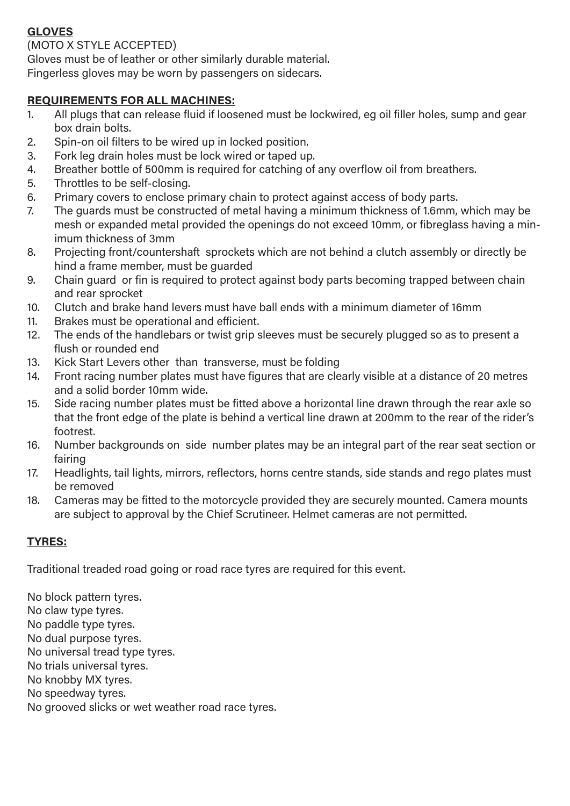# **GLOVES**

#### (MOTO X STYLE ACCEPTED)

Gloves must be of leather or other similarly durable material.

Fingerless gloves may be worn by passengers on sidecars.

## **REQUIREMENTS FOR ALL MACHINES:**

- 1. All plugs that can release fluid if loosened must be lockwired, eg oil filler holes, sump and gear box drain bolts.
- 2. Spin-on oil filters to be wired up in locked position.
- 3. Fork leg drain holes must be lock wired or taped up.
- 4. Breather bottle of 500mm is required for catching of any overflow oil from breathers.
- 5. Throttles to be self-closing.
- 6. Primary covers to enclose primary chain to protect against access of body parts.
- 7. The guards must be constructed of metal having a minimum thickness of 1.6mm, which may be mesh or expanded metal provided the openings do not exceed 10mm, or fibreglass having a minimum thickness of 3mm
- 8. Projecting front/countershaft sprockets which are not behind a clutch assembly or directly be hind a frame member, must be guarded
- 9. Chain guard or fin is required to protect against body parts becoming trapped between chain and rear sprocket
- 10. Clutch and brake hand levers must have ball ends with a minimum diameter of 16mm
- 11. Brakes must be operational and efficient.
- 12. The ends of the handlebars or twist grip sleeves must be securely plugged so as to present a flush or rounded end
- 13. Kick Start Levers other than transverse, must be folding
- 14. Front racing number plates must have figures that are clearly visible at a distance of 20 metres and a solid border 10mm wide.
- 15. Side racing number plates must be fitted above a horizontal line drawn through the rear axle so that the front edge of the plate is behind a vertical line drawn at 200mm to the rear of the rider's footrest.
- 16. Number backgrounds on side number plates may be an integral part of the rear seat section or fairing
- 17. Headlights, tail lights, mirrors, reflectors, horns centre stands, side stands and rego plates must be removed
- 18. Cameras may be fitted to the motorcycle provided they are securely mounted. Camera mounts are subject to approval by the Chief Scrutineer. Helmet cameras are not permitted.

# **TYRES:**

Traditional treaded road going or road race tyres are required for this event.

No block pattern tyres. No claw type tyres. No paddle type tyres. No dual purpose tyres. No universal tread type tyres. No trials universal tyres. No knobby MX tyres. No speedway tyres. No grooved slicks or wet weather road race tyres.